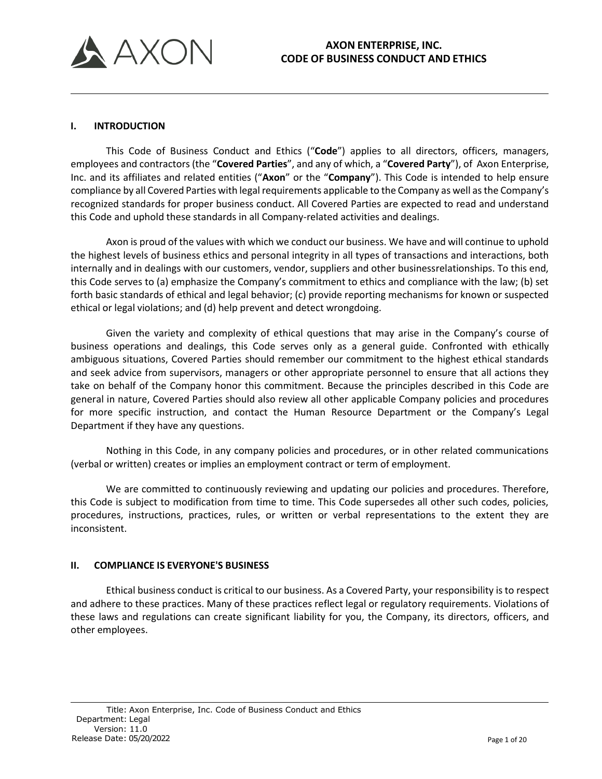

### **I. INTRODUCTION**

This Code of Business Conduct and Ethics ("**Code**") applies to all directors, officers, managers, employees and contractors(the "**Covered Parties**", and any of which, a "**Covered Party**"), of Axon Enterprise, Inc. and its affiliates and related entities ("**Axon**" or the "**Company**"). This Code is intended to help ensure compliance by all Covered Parties with legal requirements applicable to the Company as well asthe Company's recognized standards for proper business conduct. All Covered Parties are expected to read and understand this Code and uphold these standards in all Company-related activities and dealings.

Axon is proud of the values with which we conduct our business. We have and will continue to uphold the highest levels of business ethics and personal integrity in all types of transactions and interactions, both internally and in dealings with our customers, vendor, suppliers and other businessrelationships. To this end, this Code serves to (a) emphasize the Company's commitment to ethics and compliance with the law; (b) set forth basic standards of ethical and legal behavior; (c) provide reporting mechanisms for known or suspected ethical or legal violations; and (d) help prevent and detect wrongdoing.

Given the variety and complexity of ethical questions that may arise in the Company's course of business operations and dealings, this Code serves only as a general guide. Confronted with ethically ambiguous situations, Covered Parties should remember our commitment to the highest ethical standards and seek advice from supervisors, managers or other appropriate personnel to ensure that all actions they take on behalf of the Company honor this commitment. Because the principles described in this Code are general in nature, Covered Parties should also review all other applicable Company policies and procedures for more specific instruction, and contact the Human Resource Department or the Company's Legal Department if they have any questions.

Nothing in this Code, in any company policies and procedures, or in other related communications (verbal or written) creates or implies an employment contract or term of employment.

We are committed to continuously reviewing and updating our policies and procedures. Therefore, this Code is subject to modification from time to time. This Code supersedes all other such codes, policies, procedures, instructions, practices, rules, or written or verbal representations to the extent they are inconsistent.

## **II. COMPLIANCE IS EVERYONE'S BUSINESS**

Ethical business conduct is critical to our business. As a Covered Party, your responsibility is to respect and adhere to these practices. Many of these practices reflect legal or regulatory requirements. Violations of these laws and regulations can create significant liability for you, the Company, its directors, officers, and other employees.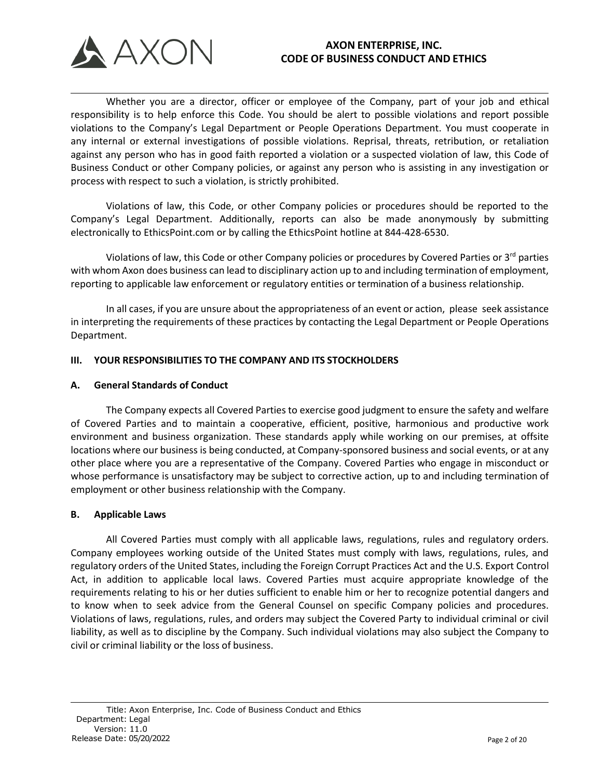

Whether you are a director, officer or employee of the Company, part of your job and ethical responsibility is to help enforce this Code. You should be alert to possible violations and report possible violations to the Company's Legal Department or People Operations Department. You must cooperate in any internal or external investigations of possible violations. Reprisal, threats, retribution, or retaliation against any person who has in good faith reported a violation or a suspected violation of law, this Code of Business Conduct or other Company policies, or against any person who is assisting in any investigation or process with respect to such a violation, is strictly prohibited.

Violations of law, this Code, or other Company policies or procedures should be reported to the Company's Legal Department. Additionally, reports can also be made anonymously by submitting electronically to EthicsPoint.com or by calling the EthicsPoint hotline at 844-428-6530.

Violations of law, this Code or other Company policies or procedures by Covered Parties or 3<sup>rd</sup> parties with whom Axon does business can lead to disciplinary action up to and including termination of employment, reporting to applicable law enforcement or regulatory entities or termination of a business relationship.

In all cases, if you are unsure about the appropriateness of an event or action, please seek assistance in interpreting the requirements of these practices by contacting the Legal Department or People Operations Department.

## **III. YOUR RESPONSIBILITIES TO THE COMPANY AND ITS STOCKHOLDERS**

#### **A. General Standards of Conduct**

The Company expects all Covered Parties to exercise good judgment to ensure the safety and welfare of Covered Parties and to maintain a cooperative, efficient, positive, harmonious and productive work environment and business organization. These standards apply while working on our premises, at offsite locations where our business is being conducted, at Company-sponsored business and social events, or at any other place where you are a representative of the Company. Covered Parties who engage in misconduct or whose performance is unsatisfactory may be subject to corrective action, up to and including termination of employment or other business relationship with the Company.

#### **B. Applicable Laws**

All Covered Parties must comply with all applicable laws, regulations, rules and regulatory orders. Company employees working outside of the United States must comply with laws, regulations, rules, and regulatory orders of the United States, including the Foreign Corrupt Practices Act and the U.S. Export Control Act, in addition to applicable local laws. Covered Parties must acquire appropriate knowledge of the requirements relating to his or her duties sufficient to enable him or her to recognize potential dangers and to know when to seek advice from the General Counsel on specific Company policies and procedures. Violations of laws, regulations, rules, and orders may subject the Covered Party to individual criminal or civil liability, as well as to discipline by the Company. Such individual violations may also subject the Company to civil or criminal liability or the loss of business.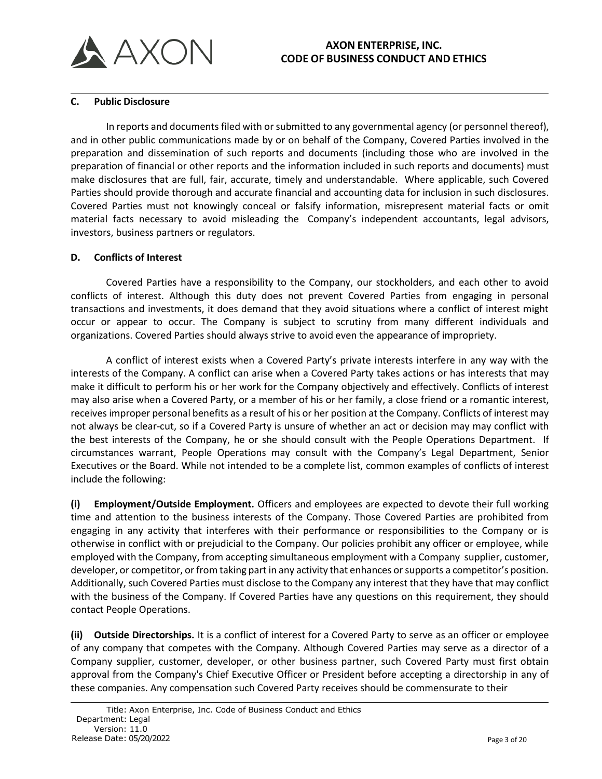

### **C. Public Disclosure**

In reports and documents filed with or submitted to any governmental agency (or personnel thereof), and in other public communications made by or on behalf of the Company, Covered Parties involved in the preparation and dissemination of such reports and documents (including those who are involved in the preparation of financial or other reports and the information included in such reports and documents) must make disclosures that are full, fair, accurate, timely and understandable. Where applicable, such Covered Parties should provide thorough and accurate financial and accounting data for inclusion in such disclosures. Covered Parties must not knowingly conceal or falsify information, misrepresent material facts or omit material facts necessary to avoid misleading the Company's independent accountants, legal advisors, investors, business partners or regulators.

### **D. Conflicts of Interest**

Covered Parties have a responsibility to the Company, our stockholders, and each other to avoid conflicts of interest. Although this duty does not prevent Covered Parties from engaging in personal transactions and investments, it does demand that they avoid situations where a conflict of interest might occur or appear to occur. The Company is subject to scrutiny from many different individuals and organizations. Covered Parties should always strive to avoid even the appearance of impropriety.

A conflict of interest exists when a Covered Party's private interests interfere in any way with the interests of the Company. A conflict can arise when a Covered Party takes actions or has interests that may make it difficult to perform his or her work for the Company objectively and effectively. Conflicts of interest may also arise when a Covered Party, or a member of his or her family, a close friend or a romantic interest, receives improper personal benefits as a result of his or her position at the Company. Conflicts of interest may not always be clear-cut, so if a Covered Party is unsure of whether an act or decision may may conflict with the best interests of the Company, he or she should consult with the People Operations Department. If circumstances warrant, People Operations may consult with the Company's Legal Department, Senior Executives or the Board. While not intended to be a complete list, common examples of conflicts of interest include the following:

**(i) Employment/Outside Employment.** Officers and employees are expected to devote their full working time and attention to the business interests of the Company. Those Covered Parties are prohibited from engaging in any activity that interferes with their performance or responsibilities to the Company or is otherwise in conflict with or prejudicial to the Company. Our policies prohibit any officer or employee, while employed with the Company, from accepting simultaneous employment with a Company supplier, customer, developer, or competitor, or from taking part in any activity that enhances or supports a competitor's position. Additionally, such Covered Parties must disclose to the Company any interest that they have that may conflict with the business of the Company. If Covered Parties have any questions on this requirement, they should contact People Operations.

**(ii) Outside Directorships.** It is a conflict of interest for a Covered Party to serve as an officer or employee of any company that competes with the Company. Although Covered Parties may serve as a director of a Company supplier, customer, developer, or other business partner, such Covered Party must first obtain approval from the Company's Chief Executive Officer or President before accepting a directorship in any of these companies. Any compensation such Covered Party receives should be commensurate to their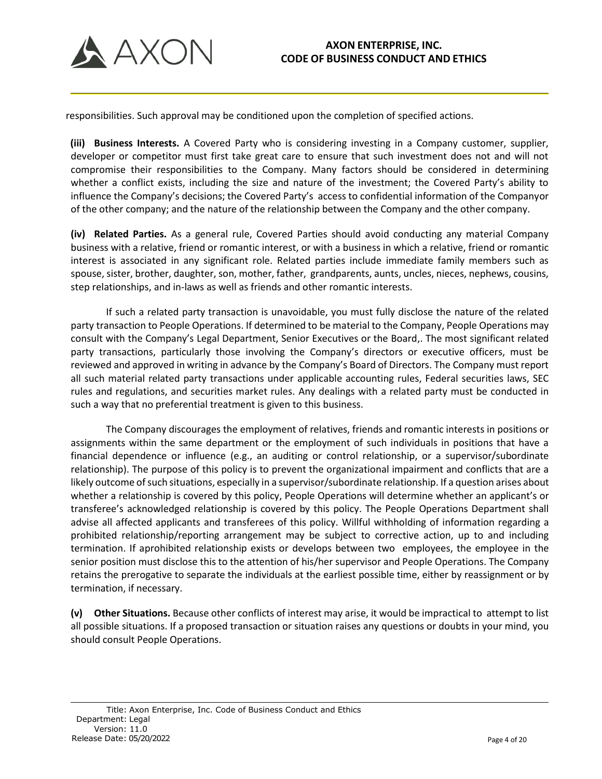

responsibilities. Such approval may be conditioned upon the completion of specified actions.

**(iii) Business Interests.** A Covered Party who is considering investing in a Company customer, supplier, developer or competitor must first take great care to ensure that such investment does not and will not compromise their responsibilities to the Company. Many factors should be considered in determining whether a conflict exists, including the size and nature of the investment; the Covered Party's ability to influence the Company's decisions; the Covered Party's access to confidential information of the Companyor of the other company; and the nature of the relationship between the Company and the other company.

**(iv) Related Parties.** As a general rule, Covered Parties should avoid conducting any material Company business with a relative, friend or romantic interest, or with a business in which a relative, friend or romantic interest is associated in any significant role. Related parties include immediate family members such as spouse, sister, brother, daughter, son, mother, father, grandparents, aunts, uncles, nieces, nephews, cousins, step relationships, and in-laws as well as friends and other romantic interests.

If such a related party transaction is unavoidable, you must fully disclose the nature of the related party transaction to People Operations. If determined to be material to the Company, People Operations may consult with the Company's Legal Department, Senior Executives or the Board,. The most significant related party transactions, particularly those involving the Company's directors or executive officers, must be reviewed and approved in writing in advance by the Company's Board of Directors. The Company must report all such material related party transactions under applicable accounting rules, Federal securities laws, SEC rules and regulations, and securities market rules. Any dealings with a related party must be conducted in such a way that no preferential treatment is given to this business.

The Company discourages the employment of relatives, friends and romantic interests in positions or assignments within the same department or the employment of such individuals in positions that have a financial dependence or influence (e.g., an auditing or control relationship, or a supervisor/subordinate relationship). The purpose of this policy is to prevent the organizational impairment and conflicts that are a likely outcome of such situations, especially in a supervisor/subordinate relationship. If a question arises about whether a relationship is covered by this policy, People Operations will determine whether an applicant's or transferee's acknowledged relationship is covered by this policy. The People Operations Department shall advise all affected applicants and transferees of this policy. Willful withholding of information regarding a prohibited relationship/reporting arrangement may be subject to corrective action, up to and including termination. If aprohibited relationship exists or develops between two employees, the employee in the senior position must disclose this to the attention of his/her supervisor and People Operations. The Company retains the prerogative to separate the individuals at the earliest possible time, either by reassignment or by termination, if necessary.

**(v) Other Situations.** Because other conflicts of interest may arise, it would be impractical to attempt to list all possible situations. If a proposed transaction or situation raises any questions or doubts in your mind, you should consult People Operations.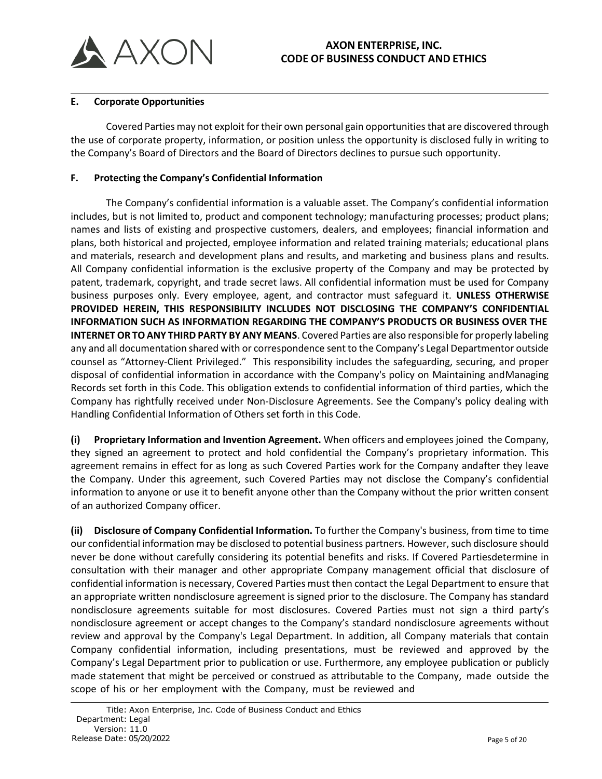

### **E. Corporate Opportunities**

Covered Parties may not exploit for their own personal gain opportunitiesthat are discovered through the use of corporate property, information, or position unless the opportunity is disclosed fully in writing to the Company's Board of Directors and the Board of Directors declines to pursue such opportunity.

### **F. Protecting the Company's Confidential Information**

The Company's confidential information is a valuable asset. The Company's confidential information includes, but is not limited to, product and component technology; manufacturing processes; product plans; names and lists of existing and prospective customers, dealers, and employees; financial information and plans, both historical and projected, employee information and related training materials; educational plans and materials, research and development plans and results, and marketing and business plans and results. All Company confidential information is the exclusive property of the Company and may be protected by patent, trademark, copyright, and trade secret laws. All confidential information must be used for Company business purposes only. Every employee, agent, and contractor must safeguard it. **UNLESS OTHERWISE PROVIDED HEREIN, THIS RESPONSIBILITY INCLUDES NOT DISCLOSING THE COMPANY'S CONFIDENTIAL INFORMATION SUCH AS INFORMATION REGARDING THE COMPANY'S PRODUCTS OR BUSINESS OVER THE INTERNET OR TO ANY THIRD PARTY BY ANY MEANS**. Covered Parties are also responsible for properly labeling any and all documentation shared with or correspondence sent to the Company's Legal Departmentor outside counsel as "Attorney-Client Privileged." This responsibility includes the safeguarding, securing, and proper disposal of confidential information in accordance with the Company's policy on Maintaining andManaging Records set forth in this Code. This obligation extends to confidential information of third parties, which the Company has rightfully received under Non-Disclosure Agreements. See the Company's policy dealing with Handling Confidential Information of Others set forth in this Code.

**(i) Proprietary Information and Invention Agreement.** When officers and employees joined the Company, they signed an agreement to protect and hold confidential the Company's proprietary information. This agreement remains in effect for as long as such Covered Parties work for the Company andafter they leave the Company. Under this agreement, such Covered Parties may not disclose the Company's confidential information to anyone or use it to benefit anyone other than the Company without the prior written consent of an authorized Company officer.

**(ii) Disclosure of Company Confidential Information.** To further the Company's business, from time to time our confidential information may be disclosed to potential business partners. However, such disclosure should never be done without carefully considering its potential benefits and risks. If Covered Partiesdetermine in consultation with their manager and other appropriate Company management official that disclosure of confidential information is necessary, Covered Parties must then contact the Legal Department to ensure that an appropriate written nondisclosure agreement is signed prior to the disclosure. The Company has standard nondisclosure agreements suitable for most disclosures. Covered Parties must not sign a third party's nondisclosure agreement or accept changes to the Company's standard nondisclosure agreements without review and approval by the Company's Legal Department. In addition, all Company materials that contain Company confidential information, including presentations, must be reviewed and approved by the Company's Legal Department prior to publication or use. Furthermore, any employee publication or publicly made statement that might be perceived or construed as attributable to the Company, made outside the scope of his or her employment with the Company, must be reviewed and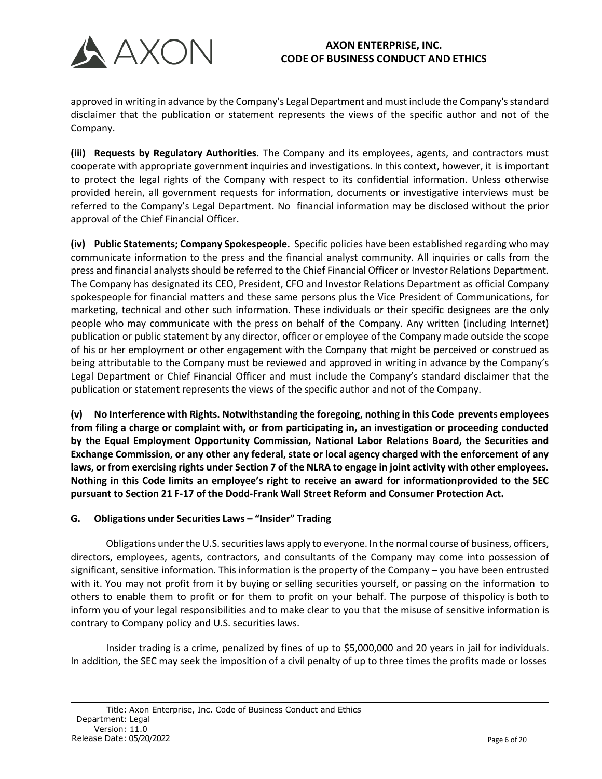

approved in writing in advance by the Company's Legal Department and must include the Company'sstandard disclaimer that the publication or statement represents the views of the specific author and not of the Company.

**(iii) Requests by Regulatory Authorities.** The Company and its employees, agents, and contractors must cooperate with appropriate government inquiries and investigations. In this context, however, it is important to protect the legal rights of the Company with respect to its confidential information. Unless otherwise provided herein, all government requests for information, documents or investigative interviews must be referred to the Company's Legal Department. No financial information may be disclosed without the prior approval of the Chief Financial Officer.

**(iv) Public Statements; Company Spokespeople.** Specific policies have been established regarding who may communicate information to the press and the financial analyst community. All inquiries or calls from the press and financial analystsshould be referred to the Chief Financial Officer or Investor Relations Department. The Company has designated its CEO, President, CFO and Investor Relations Department as official Company spokespeople for financial matters and these same persons plus the Vice President of Communications, for marketing, technical and other such information. These individuals or their specific designees are the only people who may communicate with the press on behalf of the Company. Any written (including Internet) publication or public statement by any director, officer or employee of the Company made outside the scope of his or her employment or other engagement with the Company that might be perceived or construed as being attributable to the Company must be reviewed and approved in writing in advance by the Company's Legal Department or Chief Financial Officer and must include the Company's standard disclaimer that the publication or statement represents the views of the specific author and not of the Company.

**(v) No Interference with Rights. Notwithstanding the foregoing, nothing in this Code prevents employees from filing a charge or complaint with, or from participating in, an investigation or proceeding conducted by the Equal Employment Opportunity Commission, National Labor Relations Board, the Securities and Exchange Commission, or any other any federal, state or local agency charged with the enforcement of any laws, or from exercising rights under Section 7 of the NLRA to engage in joint activity with other employees. Nothing in this Code limits an employee's right to receive an award for informationprovided to the SEC pursuant to Section 21 F-17 of the Dodd-Frank Wall Street Reform and Consumer Protection Act.**

## **G. Obligations under Securities Laws – "Insider" Trading**

Obligations under the U.S. securities laws apply to everyone. In the normal course of business, officers, directors, employees, agents, contractors, and consultants of the Company may come into possession of significant, sensitive information. This information is the property of the Company – you have been entrusted with it. You may not profit from it by buying or selling securities yourself, or passing on the information to others to enable them to profit or for them to profit on your behalf. The purpose of thispolicy is both to inform you of your legal responsibilities and to make clear to you that the misuse of sensitive information is contrary to Company policy and U.S. securities laws.

Insider trading is a crime, penalized by fines of up to \$5,000,000 and 20 years in jail for individuals. In addition, the SEC may seek the imposition of a civil penalty of up to three times the profits made or losses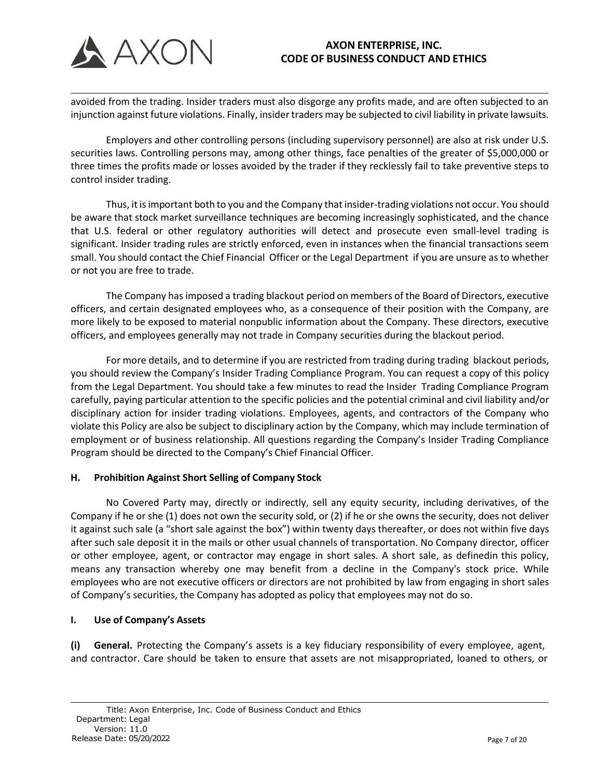

avoided from the trading. Insider traders must also disgorge any profits made, and are often subjected to an injunction against future violations. Finally, insider traders may be subjected to civil liability in private lawsuits.

Employers and other controlling persons (including supervisory personnel) are also at risk under U.S. securities laws. Controlling persons may, among other things, face penalties of the greater of \$5,000,000 or three times the profits made or losses avoided by the trader if they recklessly fail to take preventive steps to control insider trading.

Thus, it is important both to you and the Company that insider-trading violations not occur. You should be aware that stock market surveillance techniques are becoming increasingly sophisticated, and the chance that U.S. federal or other regulatory authorities will detect and prosecute even small-level trading is significant. Insider trading rules are strictly enforced, even in instances when the financial transactions seem small. You should contact the Chief Financial Officer or the Legal Department if you are unsure as to whether or not you are free to trade.

The Company has imposed a trading blackout period on members of the Board of Directors, executive officers, and certain designated employees who, as a consequence of their position with the Company, are more likely to be exposed to material nonpublic information about the Company. These directors, executive officers, and employees generally may not trade in Company securities during the blackout period.

For more details, and to determine if you are restricted from trading during trading blackout periods, you should review the Company's Insider Trading Compliance Program. You can request a copy of this policy from the Legal Department. You should take a few minutes to read the Insider Trading Compliance Program carefully, paying particular attention to the specific policies and the potential criminal and civil liability and/or disciplinary action for insider trading violations. Employees, agents, and contractors of the Company who violate this Policy are also be subject to disciplinary action by the Company, which may include termination of employment or of business relationship. All questions regarding the Company's Insider Trading Compliance Program should be directed to the Company's Chief Financial Officer.

## **H. Prohibition Against Short Selling of Company Stock**

No Covered Party may, directly or indirectly, sell any equity security, including derivatives, of the Company if he or she (1) does not own the security sold, or (2) if he or she owns the security, does not deliver it against such sale (a "short sale against the box") within twenty days thereafter, or does not within five days after such sale deposit it in the mails or other usual channels of transportation. No Company director, officer or other employee, agent, or contractor may engage in short sales. A short sale, as definedin this policy, means any transaction whereby one may benefit from a decline in the Company's stock price. While employees who are not executive officers or directors are not prohibited by law from engaging in short sales of Company's securities, the Company has adopted as policy that employees may not do so.

## **I. Use of Company's Assets**

**(i) General.** Protecting the Company's assets is a key fiduciary responsibility of every employee, agent, and contractor. Care should be taken to ensure that assets are not misappropriated, loaned to others, or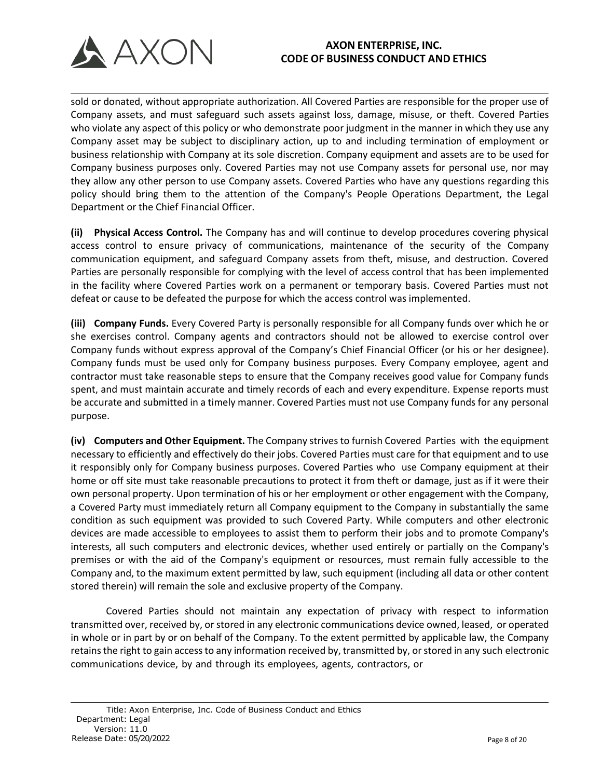

sold or donated, without appropriate authorization. All Covered Parties are responsible for the proper use of Company assets, and must safeguard such assets against loss, damage, misuse, or theft. Covered Parties who violate any aspect of this policy or who demonstrate poor judgment in the manner in which they use any Company asset may be subject to disciplinary action, up to and including termination of employment or business relationship with Company at its sole discretion. Company equipment and assets are to be used for Company business purposes only. Covered Parties may not use Company assets for personal use, nor may they allow any other person to use Company assets. Covered Parties who have any questions regarding this policy should bring them to the attention of the Company's People Operations Department, the Legal Department or the Chief Financial Officer.

**(ii) Physical Access Control.** The Company has and will continue to develop procedures covering physical access control to ensure privacy of communications, maintenance of the security of the Company communication equipment, and safeguard Company assets from theft, misuse, and destruction. Covered Parties are personally responsible for complying with the level of access control that has been implemented in the facility where Covered Parties work on a permanent or temporary basis. Covered Parties must not defeat or cause to be defeated the purpose for which the access control was implemented.

**(iii) Company Funds.** Every Covered Party is personally responsible for all Company funds over which he or she exercises control. Company agents and contractors should not be allowed to exercise control over Company funds without express approval of the Company's Chief Financial Officer (or his or her designee). Company funds must be used only for Company business purposes. Every Company employee, agent and contractor must take reasonable steps to ensure that the Company receives good value for Company funds spent, and must maintain accurate and timely records of each and every expenditure. Expense reports must be accurate and submitted in a timely manner. Covered Parties must not use Company funds for any personal purpose.

**(iv) Computers and Other Equipment.** The Company strives to furnish Covered Parties with the equipment necessary to efficiently and effectively do their jobs. Covered Parties must care for that equipment and to use it responsibly only for Company business purposes. Covered Parties who use Company equipment at their home or off site must take reasonable precautions to protect it from theft or damage, just as if it were their own personal property. Upon termination of his or her employment or other engagement with the Company, a Covered Party must immediately return all Company equipment to the Company in substantially the same condition as such equipment was provided to such Covered Party. While computers and other electronic devices are made accessible to employees to assist them to perform their jobs and to promote Company's interests, all such computers and electronic devices, whether used entirely or partially on the Company's premises or with the aid of the Company's equipment or resources, must remain fully accessible to the Company and, to the maximum extent permitted by law, such equipment (including all data or other content stored therein) will remain the sole and exclusive property of the Company.

Covered Parties should not maintain any expectation of privacy with respect to information transmitted over, received by, or stored in any electronic communications device owned, leased, or operated in whole or in part by or on behalf of the Company. To the extent permitted by applicable law, the Company retains the right to gain access to any information received by, transmitted by, or stored in any such electronic communications device, by and through its employees, agents, contractors, or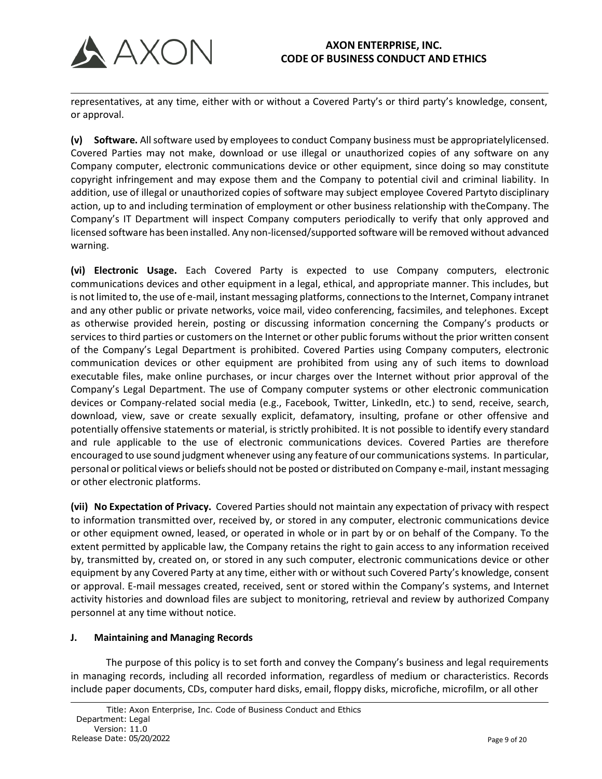

representatives, at any time, either with or without a Covered Party's or third party's knowledge, consent, or approval.

**(v) Software.** Allsoftware used by employees to conduct Company business must be appropriatelylicensed. Covered Parties may not make, download or use illegal or unauthorized copies of any software on any Company computer, electronic communications device or other equipment, since doing so may constitute copyright infringement and may expose them and the Company to potential civil and criminal liability. In addition, use of illegal or unauthorized copies of software may subject employee Covered Partyto disciplinary action, up to and including termination of employment or other business relationship with theCompany. The Company's IT Department will inspect Company computers periodically to verify that only approved and licensed software has been installed. Any non-licensed/supported software will be removed without advanced warning.

**(vi) Electronic Usage.** Each Covered Party is expected to use Company computers, electronic communications devices and other equipment in a legal, ethical, and appropriate manner. This includes, but is not limited to, the use of e-mail, instant messaging platforms, connections to the Internet, Company intranet and any other public or private networks, voice mail, video conferencing, facsimiles, and telephones. Except as otherwise provided herein, posting or discussing information concerning the Company's products or services to third parties or customers on the Internet or other public forums without the prior written consent of the Company's Legal Department is prohibited. Covered Parties using Company computers, electronic communication devices or other equipment are prohibited from using any of such items to download executable files, make online purchases, or incur charges over the Internet without prior approval of the Company's Legal Department. The use of Company computer systems or other electronic communication devices or Company-related social media (e.g., Facebook, Twitter, LinkedIn, etc.) to send, receive, search, download, view, save or create sexually explicit, defamatory, insulting, profane or other offensive and potentially offensive statements or material, is strictly prohibited. It is not possible to identify every standard and rule applicable to the use of electronic communications devices. Covered Parties are therefore encouraged to use sound judgment whenever using any feature of our communications systems. In particular, personal or political views or beliefs should not be posted or distributed on Company e-mail, instant messaging or other electronic platforms.

**(vii) No Expectation of Privacy.** Covered Parties should not maintain any expectation of privacy with respect to information transmitted over, received by, or stored in any computer, electronic communications device or other equipment owned, leased, or operated in whole or in part by or on behalf of the Company. To the extent permitted by applicable law, the Company retains the right to gain access to any information received by, transmitted by, created on, or stored in any such computer, electronic communications device or other equipment by any Covered Party at any time, either with or without such Covered Party's knowledge, consent or approval. E-mail messages created, received, sent or stored within the Company's systems, and Internet activity histories and download files are subject to monitoring, retrieval and review by authorized Company personnel at any time without notice.

## **J. Maintaining and Managing Records**

The purpose of this policy is to set forth and convey the Company's business and legal requirements in managing records, including all recorded information, regardless of medium or characteristics. Records include paper documents, CDs, computer hard disks, email, floppy disks, microfiche, microfilm, or all other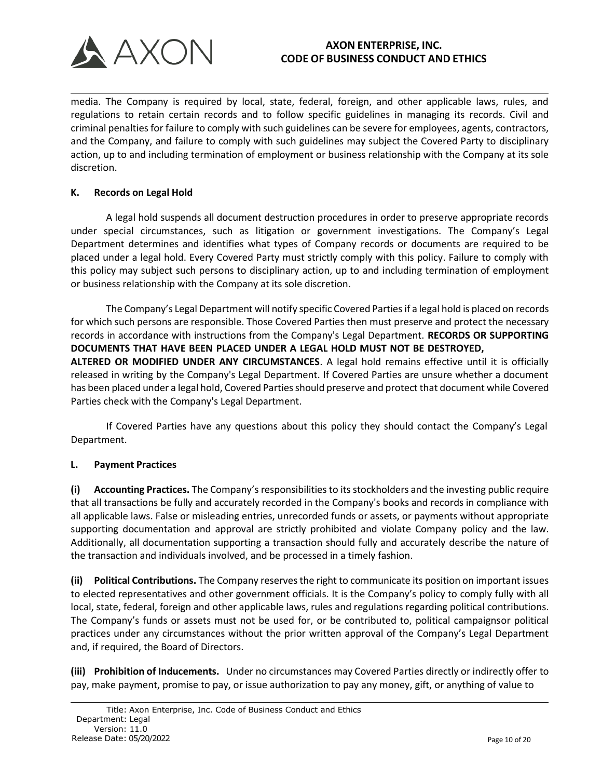

media. The Company is required by local, state, federal, foreign, and other applicable laws, rules, and regulations to retain certain records and to follow specific guidelines in managing its records. Civil and criminal penalties for failure to comply with such guidelines can be severe for employees, agents, contractors, and the Company, and failure to comply with such guidelines may subject the Covered Party to disciplinary action, up to and including termination of employment or business relationship with the Company at its sole discretion.

## **K. Records on Legal Hold**

A legal hold suspends all document destruction procedures in order to preserve appropriate records under special circumstances, such as litigation or government investigations. The Company's Legal Department determines and identifies what types of Company records or documents are required to be placed under a legal hold. Every Covered Party must strictly comply with this policy. Failure to comply with this policy may subject such persons to disciplinary action, up to and including termination of employment or business relationship with the Company at its sole discretion.

The Company's Legal Department will notify specific Covered Parties if a legal hold is placed on records for which such persons are responsible. Those Covered Parties then must preserve and protect the necessary records in accordance with instructions from the Company's Legal Department. **RECORDS OR SUPPORTING DOCUMENTS THAT HAVE BEEN PLACED UNDER A LEGAL HOLD MUST NOT BE DESTROYED, ALTERED OR MODIFIED UNDER ANY CIRCUMSTANCES**. A legal hold remains effective until it is officially released in writing by the Company's Legal Department. If Covered Parties are unsure whether a document has been placed under a legal hold, Covered Parties should preserve and protect that document while Covered Parties check with the Company's Legal Department.

If Covered Parties have any questions about this policy they should contact the Company's Legal Department.

## **L. Payment Practices**

**(i) Accounting Practices.** The Company's responsibilitiesto its stockholders and the investing public require that all transactions be fully and accurately recorded in the Company's books and records in compliance with all applicable laws. False or misleading entries, unrecorded funds or assets, or payments without appropriate supporting documentation and approval are strictly prohibited and violate Company policy and the law. Additionally, all documentation supporting a transaction should fully and accurately describe the nature of the transaction and individuals involved, and be processed in a timely fashion.

**(ii) Political Contributions.** The Company reserves the right to communicate its position on important issues to elected representatives and other government officials. It is the Company's policy to comply fully with all local, state, federal, foreign and other applicable laws, rules and regulations regarding political contributions. The Company's funds or assets must not be used for, or be contributed to, political campaignsor political practices under any circumstances without the prior written approval of the Company's Legal Department and, if required, the Board of Directors.

**(iii) Prohibition of Inducements.** Under no circumstances may Covered Parties directly or indirectly offer to pay, make payment, promise to pay, or issue authorization to pay any money, gift, or anything of value to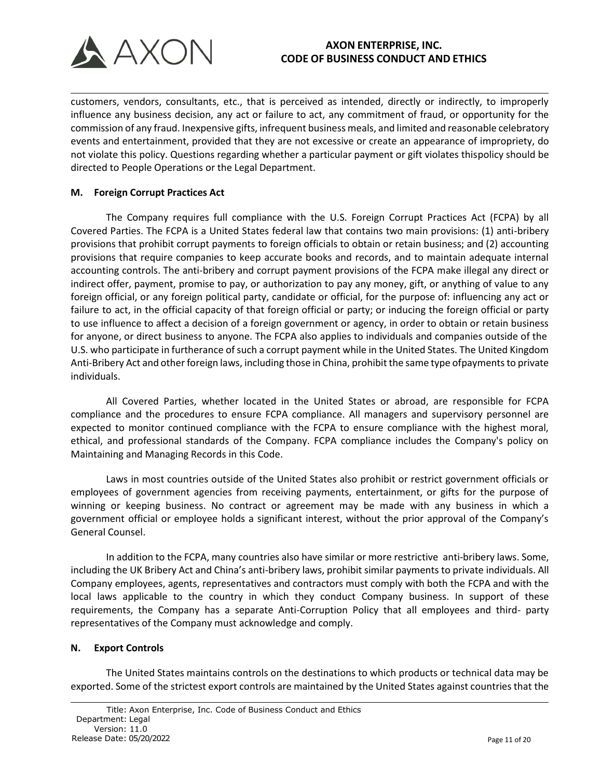

customers, vendors, consultants, etc., that is perceived as intended, directly or indirectly, to improperly influence any business decision, any act or failure to act, any commitment of fraud, or opportunity for the commission of any fraud. Inexpensive gifts, infrequent business meals, and limited and reasonable celebratory events and entertainment, provided that they are not excessive or create an appearance of impropriety, do not violate this policy. Questions regarding whether a particular payment or gift violates thispolicy should be directed to People Operations or the Legal Department.

## **M. Foreign Corrupt Practices Act**

The Company requires full compliance with the U.S. Foreign Corrupt Practices Act (FCPA) by all Covered Parties. The FCPA is a United States federal law that contains two main provisions: (1) anti-bribery provisions that prohibit corrupt payments to foreign officials to obtain or retain business; and (2) accounting provisions that require companies to keep accurate books and records, and to maintain adequate internal accounting controls. The anti-bribery and corrupt payment provisions of the FCPA make illegal any direct or indirect offer, payment, promise to pay, or authorization to pay any money, gift, or anything of value to any foreign official, or any foreign political party, candidate or official, for the purpose of: influencing any act or failure to act, in the official capacity of that foreign official or party; or inducing the foreign official or party to use influence to affect a decision of a foreign government or agency, in order to obtain or retain business for anyone, or direct business to anyone. The FCPA also applies to individuals and companies outside of the U.S. who participate in furtherance of such a corrupt payment while in the United States. The United Kingdom Anti-Bribery Act and other foreign laws, including those in China, prohibit the same type ofpayments to private individuals.

All Covered Parties, whether located in the United States or abroad, are responsible for FCPA compliance and the procedures to ensure FCPA compliance. All managers and supervisory personnel are expected to monitor continued compliance with the FCPA to ensure compliance with the highest moral, ethical, and professional standards of the Company. FCPA compliance includes the Company's policy on Maintaining and Managing Records in this Code.

Laws in most countries outside of the United States also prohibit or restrict government officials or employees of government agencies from receiving payments, entertainment, or gifts for the purpose of winning or keeping business. No contract or agreement may be made with any business in which a government official or employee holds a significant interest, without the prior approval of the Company's General Counsel.

In addition to the FCPA, many countries also have similar or more restrictive anti-bribery laws. Some, including the UK Bribery Act and China's anti-bribery laws, prohibit similar payments to private individuals. All Company employees, agents, representatives and contractors must comply with both the FCPA and with the local laws applicable to the country in which they conduct Company business. In support of these requirements, the Company has a separate Anti-Corruption Policy that all employees and third- party representatives of the Company must acknowledge and comply.

## **N. Export Controls**

The United States maintains controls on the destinations to which products or technical data may be exported. Some of the strictest export controls are maintained by the United States against countries that the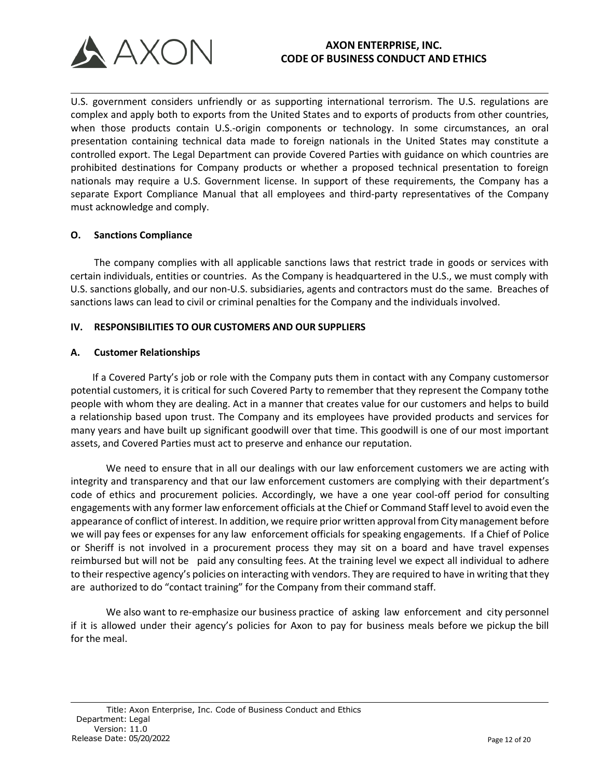

U.S. government considers unfriendly or as supporting international terrorism. The U.S. regulations are complex and apply both to exports from the United States and to exports of products from other countries, when those products contain U.S.-origin components or technology. In some circumstances, an oral presentation containing technical data made to foreign nationals in the United States may constitute a controlled export. The Legal Department can provide Covered Parties with guidance on which countries are prohibited destinations for Company products or whether a proposed technical presentation to foreign nationals may require a U.S. Government license. In support of these requirements, the Company has a separate Export Compliance Manual that all employees and third-party representatives of the Company must acknowledge and comply.

### **O. Sanctions Compliance**

The company complies with all applicable sanctions laws that restrict trade in goods or services with certain individuals, entities or countries. As the Company is headquartered in the U.S., we must comply with U.S. sanctions globally, and our non-U.S. subsidiaries, agents and contractors must do the same. Breaches of sanctions laws can lead to civil or criminal penalties for the Company and the individuals involved.

### **IV. RESPONSIBILITIES TO OUR CUSTOMERS AND OUR SUPPLIERS**

### **A. Customer Relationships**

If a Covered Party's job or role with the Company puts them in contact with any Company customersor potential customers, it is critical for such Covered Party to remember that they represent the Company tothe people with whom they are dealing. Act in a manner that creates value for our customers and helps to build a relationship based upon trust. The Company and its employees have provided products and services for many years and have built up significant goodwill over that time. This goodwill is one of our most important assets, and Covered Parties must act to preserve and enhance our reputation.

We need to ensure that in all our dealings with our law enforcement customers we are acting with integrity and transparency and that our law enforcement customers are complying with their department's code of ethics and procurement policies. Accordingly, we have a one year cool-off period for consulting engagements with any former law enforcement officials at the Chief or Command Staff level to avoid even the appearance of conflict of interest. In addition, we require prior written approval from City management before we will pay fees or expenses for any law enforcement officials for speaking engagements. If a Chief of Police or Sheriff is not involved in a procurement process they may sit on a board and have travel expenses reimbursed but will not be paid any consulting fees. At the training level we expect all individual to adhere to their respective agency's policies on interacting with vendors. They are required to have in writing that they are authorized to do "contact training" for the Company from their command staff.

We also want to re-emphasize our business practice of asking law enforcement and city personnel if it is allowed under their agency's policies for Axon to pay for business meals before we pickup the bill for the meal.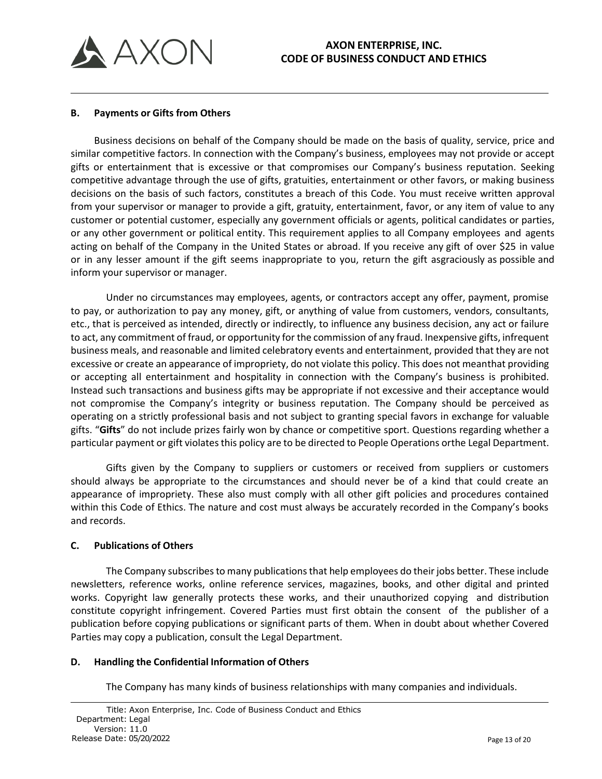

#### **B. Payments or Gifts from Others**

Business decisions on behalf of the Company should be made on the basis of quality, service, price and similar competitive factors. In connection with the Company's business, employees may not provide or accept gifts or entertainment that is excessive or that compromises our Company's business reputation. Seeking competitive advantage through the use of gifts, gratuities, entertainment or other favors, or making business decisions on the basis of such factors, constitutes a breach of this Code. You must receive written approval from your supervisor or manager to provide a gift, gratuity, entertainment, favor, or any item of value to any customer or potential customer, especially any government officials or agents, political candidates or parties, or any other government or political entity. This requirement applies to all Company employees and agents acting on behalf of the Company in the United States or abroad. If you receive any gift of over \$25 in value or in any lesser amount if the gift seems inappropriate to you, return the gift asgraciously as possible and inform your supervisor or manager.

Under no circumstances may employees, agents, or contractors accept any offer, payment, promise to pay, or authorization to pay any money, gift, or anything of value from customers, vendors, consultants, etc., that is perceived as intended, directly or indirectly, to influence any business decision, any act or failure to act, any commitment of fraud, or opportunity for the commission of any fraud. Inexpensive gifts, infrequent business meals, and reasonable and limited celebratory events and entertainment, provided that they are not excessive or create an appearance of impropriety, do not violate this policy. This does not meanthat providing or accepting all entertainment and hospitality in connection with the Company's business is prohibited. Instead such transactions and business gifts may be appropriate if not excessive and their acceptance would not compromise the Company's integrity or business reputation. The Company should be perceived as operating on a strictly professional basis and not subject to granting special favors in exchange for valuable gifts. "**Gifts**" do not include prizes fairly won by chance or competitive sport. Questions regarding whether a particular payment or gift violates this policy are to be directed to People Operations orthe Legal Department.

Gifts given by the Company to suppliers or customers or received from suppliers or customers should always be appropriate to the circumstances and should never be of a kind that could create an appearance of impropriety. These also must comply with all other gift policies and procedures contained within this Code of Ethics. The nature and cost must always be accurately recorded in the Company's books and records.

## **C. Publications of Others**

The Company subscribes to many publications that help employees do their jobs better. These include newsletters, reference works, online reference services, magazines, books, and other digital and printed works. Copyright law generally protects these works, and their unauthorized copying and distribution constitute copyright infringement. Covered Parties must first obtain the consent of the publisher of a publication before copying publications or significant parts of them. When in doubt about whether Covered Parties may copy a publication, consult the Legal Department.

## **D. Handling the Confidential Information of Others**

The Company has many kinds of business relationships with many companies and individuals.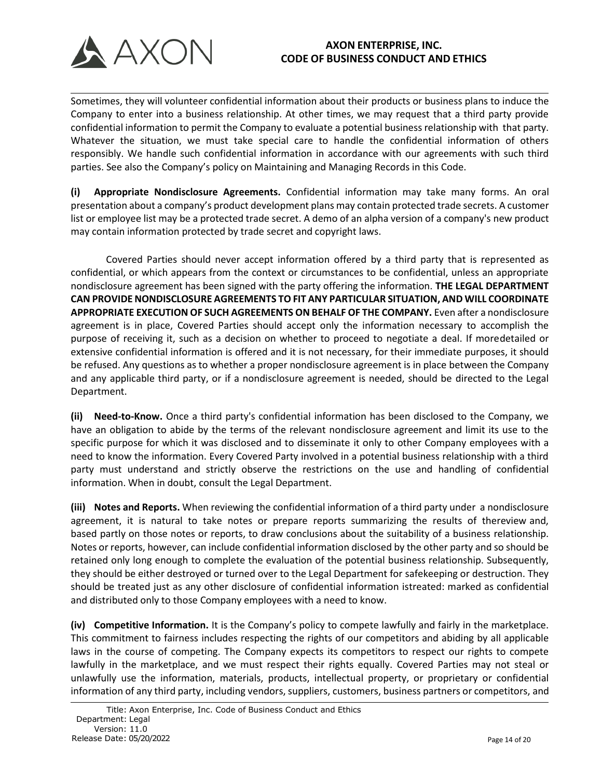

Sometimes, they will volunteer confidential information about their products or business plans to induce the Company to enter into a business relationship. At other times, we may request that a third party provide confidential information to permit the Company to evaluate a potential business relationship with that party. Whatever the situation, we must take special care to handle the confidential information of others responsibly. We handle such confidential information in accordance with our agreements with such third parties. See also the Company's policy on Maintaining and Managing Records in this Code.

**(i) Appropriate Nondisclosure Agreements.** Confidential information may take many forms. An oral presentation about a company's product development plans may contain protected trade secrets. A customer list or employee list may be a protected trade secret. A demo of an alpha version of a company's new product may contain information protected by trade secret and copyright laws.

Covered Parties should never accept information offered by a third party that is represented as confidential, or which appears from the context or circumstances to be confidential, unless an appropriate nondisclosure agreement has been signed with the party offering the information. **THE LEGAL DEPARTMENT CAN PROVIDE NONDISCLOSURE AGREEMENTS TO FIT ANY PARTICULAR SITUATION, AND WILL COORDINATE APPROPRIATE EXECUTION OF SUCH AGREEMENTS ON BEHALF OF THE COMPANY.** Even after a nondisclosure agreement is in place, Covered Parties should accept only the information necessary to accomplish the purpose of receiving it, such as a decision on whether to proceed to negotiate a deal. If moredetailed or extensive confidential information is offered and it is not necessary, for their immediate purposes, it should be refused. Any questions as to whether a proper nondisclosure agreement is in place between the Company and any applicable third party, or if a nondisclosure agreement is needed, should be directed to the Legal Department.

**(ii) Need-to-Know.** Once a third party's confidential information has been disclosed to the Company, we have an obligation to abide by the terms of the relevant nondisclosure agreement and limit its use to the specific purpose for which it was disclosed and to disseminate it only to other Company employees with a need to know the information. Every Covered Party involved in a potential business relationship with a third party must understand and strictly observe the restrictions on the use and handling of confidential information. When in doubt, consult the Legal Department.

**(iii) Notes and Reports.** When reviewing the confidential information of a third party under a nondisclosure agreement, it is natural to take notes or prepare reports summarizing the results of thereview and, based partly on those notes or reports, to draw conclusions about the suitability of a business relationship. Notes or reports, however, can include confidential information disclosed by the other party and so should be retained only long enough to complete the evaluation of the potential business relationship. Subsequently, they should be either destroyed or turned over to the Legal Department for safekeeping or destruction. They should be treated just as any other disclosure of confidential information istreated: marked as confidential and distributed only to those Company employees with a need to know.

**(iv) Competitive Information.** It is the Company's policy to compete lawfully and fairly in the marketplace. This commitment to fairness includes respecting the rights of our competitors and abiding by all applicable laws in the course of competing. The Company expects its competitors to respect our rights to compete lawfully in the marketplace, and we must respect their rights equally. Covered Parties may not steal or unlawfully use the information, materials, products, intellectual property, or proprietary or confidential information of any third party, including vendors, suppliers, customers, business partners or competitors, and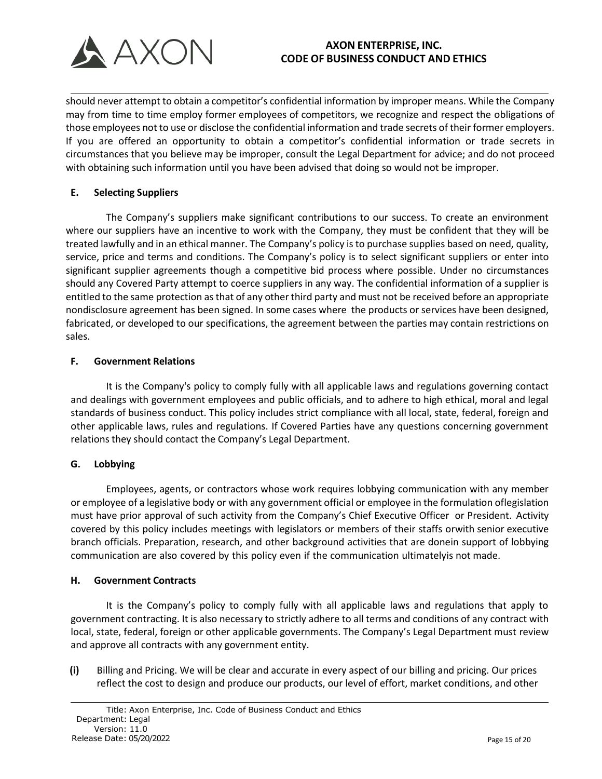

should never attempt to obtain a competitor's confidential information by improper means. While the Company may from time to time employ former employees of competitors, we recognize and respect the obligations of those employees not to use or disclose the confidential information and trade secrets of their former employers. If you are offered an opportunity to obtain a competitor's confidential information or trade secrets in circumstances that you believe may be improper, consult the Legal Department for advice; and do not proceed with obtaining such information until you have been advised that doing so would not be improper.

## **E. Selecting Suppliers**

The Company's suppliers make significant contributions to our success. To create an environment where our suppliers have an incentive to work with the Company, they must be confident that they will be treated lawfully and in an ethical manner. The Company's policy is to purchase supplies based on need, quality, service, price and terms and conditions. The Company's policy is to select significant suppliers or enter into significant supplier agreements though a competitive bid process where possible. Under no circumstances should any Covered Party attempt to coerce suppliers in any way. The confidential information of a supplier is entitled to the same protection as that of any other third party and must not be received before an appropriate nondisclosure agreement has been signed. In some cases where the products or services have been designed, fabricated, or developed to our specifications, the agreement between the parties may contain restrictions on sales.

## **F. Government Relations**

It is the Company's policy to comply fully with all applicable laws and regulations governing contact and dealings with government employees and public officials, and to adhere to high ethical, moral and legal standards of business conduct. This policy includes strict compliance with all local, state, federal, foreign and other applicable laws, rules and regulations. If Covered Parties have any questions concerning government relations they should contact the Company's Legal Department.

## **G. Lobbying**

Employees, agents, or contractors whose work requires lobbying communication with any member or employee of a legislative body or with any government official or employee in the formulation oflegislation must have prior approval of such activity from the Company's Chief Executive Officer or President. Activity covered by this policy includes meetings with legislators or members of their staffs orwith senior executive branch officials. Preparation, research, and other background activities that are donein support of lobbying communication are also covered by this policy even if the communication ultimatelyis not made.

## **H. Government Contracts**

It is the Company's policy to comply fully with all applicable laws and regulations that apply to government contracting. It is also necessary to strictly adhere to all terms and conditions of any contract with local, state, federal, foreign or other applicable governments. The Company's Legal Department must review and approve all contracts with any government entity.

**(i)** Billing and Pricing. We will be clear and accurate in every aspect of our billing and pricing. Our prices reflect the cost to design and produce our products, our level of effort, market conditions, and other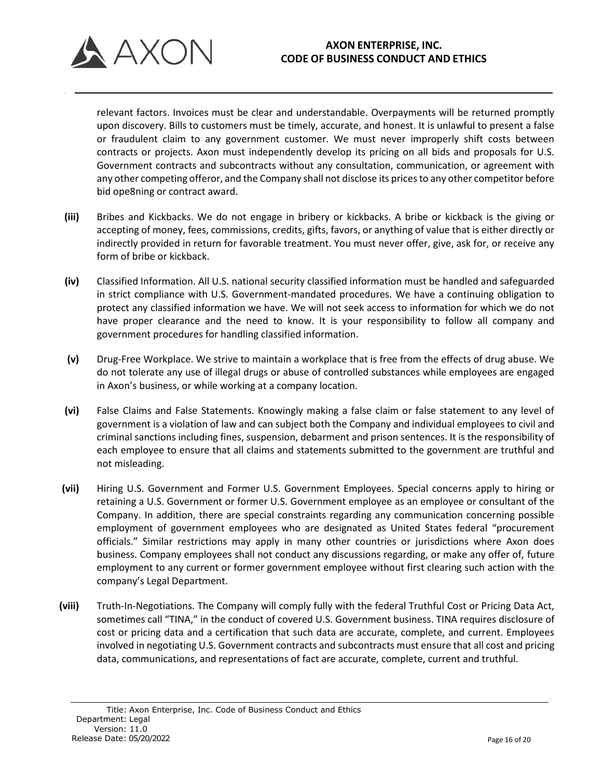

relevant factors. Invoices must be clear and understandable. Overpayments will be returned promptly upon discovery. Bills to customers must be timely, accurate, and honest. It is unlawful to present a false or fraudulent claim to any government customer. We must never improperly shift costs between contracts or projects. Axon must independently develop its pricing on all bids and proposals for U.S. Government contracts and subcontracts without any consultation, communication, or agreement with any other competing offeror, and the Company shall not disclose its prices to any other competitor before bid ope8ning or contract award.

- **(iii)** Bribes and Kickbacks. We do not engage in bribery or kickbacks. A bribe or kickback is the giving or accepting of money, fees, commissions, credits, gifts, favors, or anything of value that is either directly or indirectly provided in return for favorable treatment. You must never offer, give, ask for, or receive any form of bribe or kickback.
- **(iv)** Classified Information. All U.S. national security classified information must be handled and safeguarded in strict compliance with U.S. Government-mandated procedures. We have a continuing obligation to protect any classified information we have. We will not seek access to information for which we do not have proper clearance and the need to know. It is your responsibility to follow all company and government procedures for handling classified information.
- **(v)** Drug-Free Workplace. We strive to maintain a workplace that is free from the effects of drug abuse. We do not tolerate any use of illegal drugs or abuse of controlled substances while employees are engaged in Axon's business, or while working at a company location.
- **(vi)** False Claims and False Statements. Knowingly making a false claim or false statement to any level of government is a violation of law and can subject both the Company and individual employees to civil and criminal sanctions including fines, suspension, debarment and prison sentences. It is the responsibility of each employee to ensure that all claims and statements submitted to the government are truthful and not misleading.
- **(vii)** Hiring U.S. Government and Former U.S. Government Employees. Special concerns apply to hiring or retaining a U.S. Government or former U.S. Government employee as an employee or consultant of the Company. In addition, there are special constraints regarding any communication concerning possible employment of government employees who are designated as United States federal "procurement officials." Similar restrictions may apply in many other countries or jurisdictions where Axon does business. Company employees shall not conduct any discussions regarding, or make any offer of, future employment to any current or former government employee without first clearing such action with the company's Legal Department.
- **(viii)** Truth-In-Negotiations. The Company will comply fully with the federal Truthful Cost or Pricing Data Act, sometimes call "TINA," in the conduct of covered U.S. Government business. TINA requires disclosure of cost or pricing data and a certification that such data are accurate, complete, and current. Employees involved in negotiating U.S. Government contracts and subcontracts must ensure that all cost and pricing data, communications, and representations of fact are accurate, complete, current and truthful.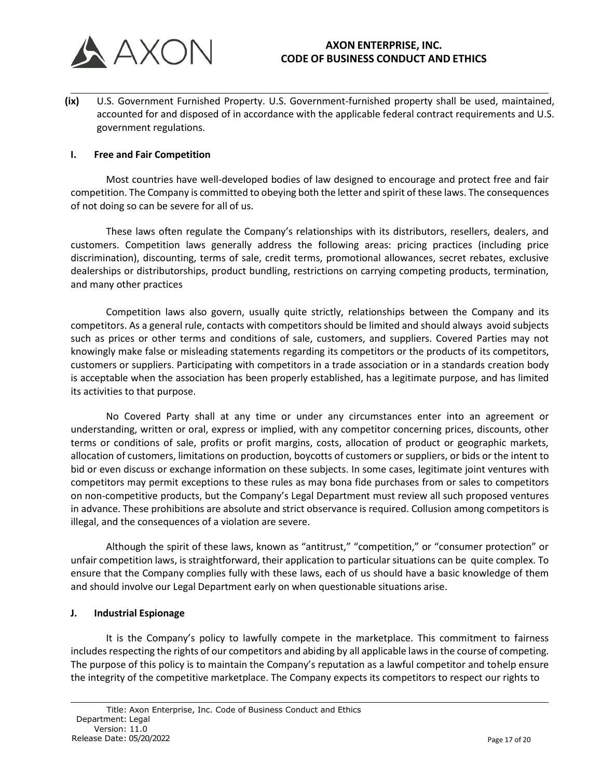

**(ix)** U.S. Government Furnished Property. U.S. Government-furnished property shall be used, maintained, accounted for and disposed of in accordance with the applicable federal contract requirements and U.S. government regulations.

## **I. Free and Fair Competition**

Most countries have well-developed bodies of law designed to encourage and protect free and fair competition. The Company is committed to obeying both the letter and spirit of these laws. The consequences of not doing so can be severe for all of us.

These laws often regulate the Company's relationships with its distributors, resellers, dealers, and customers. Competition laws generally address the following areas: pricing practices (including price discrimination), discounting, terms of sale, credit terms, promotional allowances, secret rebates, exclusive dealerships or distributorships, product bundling, restrictions on carrying competing products, termination, and many other practices

Competition laws also govern, usually quite strictly, relationships between the Company and its competitors. As a general rule, contacts with competitors should be limited and should always avoid subjects such as prices or other terms and conditions of sale, customers, and suppliers. Covered Parties may not knowingly make false or misleading statements regarding its competitors or the products of its competitors, customers or suppliers. Participating with competitors in a trade association or in a standards creation body is acceptable when the association has been properly established, has a legitimate purpose, and has limited its activities to that purpose.

No Covered Party shall at any time or under any circumstances enter into an agreement or understanding, written or oral, express or implied, with any competitor concerning prices, discounts, other terms or conditions of sale, profits or profit margins, costs, allocation of product or geographic markets, allocation of customers, limitations on production, boycotts of customers or suppliers, or bids or the intent to bid or even discuss or exchange information on these subjects. In some cases, legitimate joint ventures with competitors may permit exceptions to these rules as may bona fide purchases from or sales to competitors on non-competitive products, but the Company's Legal Department must review all such proposed ventures in advance. These prohibitions are absolute and strict observance is required. Collusion among competitors is illegal, and the consequences of a violation are severe.

Although the spirit of these laws, known as "antitrust," "competition," or "consumer protection" or unfair competition laws, is straightforward, their application to particular situations can be quite complex. To ensure that the Company complies fully with these laws, each of us should have a basic knowledge of them and should involve our Legal Department early on when questionable situations arise.

#### **J. Industrial Espionage**

It is the Company's policy to lawfully compete in the marketplace. This commitment to fairness includes respecting the rights of our competitors and abiding by all applicable laws in the course of competing. The purpose of this policy is to maintain the Company's reputation as a lawful competitor and tohelp ensure the integrity of the competitive marketplace. The Company expects its competitors to respect our rights to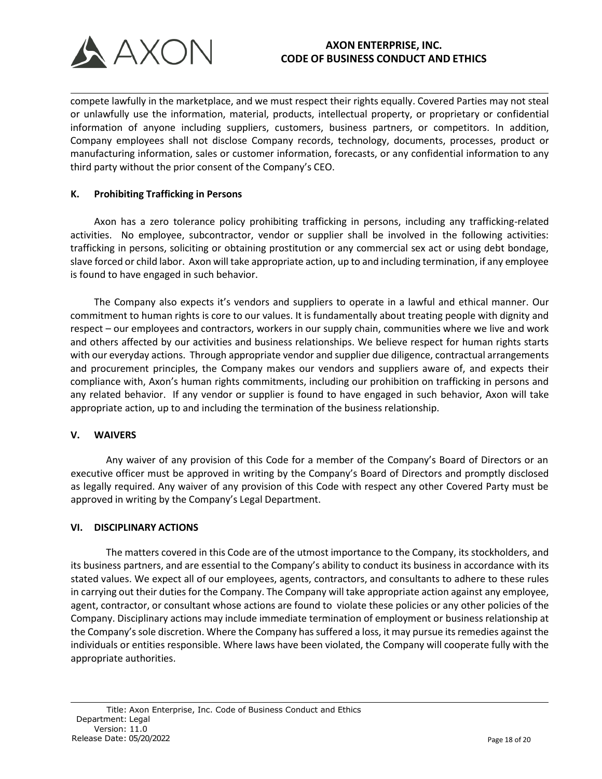

compete lawfully in the marketplace, and we must respect their rights equally. Covered Parties may not steal or unlawfully use the information, material, products, intellectual property, or proprietary or confidential information of anyone including suppliers, customers, business partners, or competitors. In addition, Company employees shall not disclose Company records, technology, documents, processes, product or manufacturing information, sales or customer information, forecasts, or any confidential information to any third party without the prior consent of the Company's CEO.

## **K. Prohibiting Trafficking in Persons**

Axon has a zero tolerance policy prohibiting trafficking in persons, including any trafficking-related activities. No employee, subcontractor, vendor or supplier shall be involved in the following activities: trafficking in persons, soliciting or obtaining prostitution or any commercial sex act or using debt bondage, slave forced or child labor. Axon will take appropriate action, up to and including termination, if any employee is found to have engaged in such behavior.

The Company also expects it's vendors and suppliers to operate in a lawful and ethical manner. Our commitment to human rights is core to our values. It is fundamentally about treating people with dignity and respect – our employees and contractors, workers in our supply chain, communities where we live and work and others affected by our activities and business relationships. We believe respect for human rights starts with our everyday actions. Through appropriate vendor and supplier due diligence, contractual arrangements and procurement principles, the Company makes our vendors and suppliers aware of, and expects their compliance with, Axon's human rights commitments, including our prohibition on trafficking in persons and any related behavior. If any vendor or supplier is found to have engaged in such behavior, Axon will take appropriate action, up to and including the termination of the business relationship.

## **V. WAIVERS**

Any waiver of any provision of this Code for a member of the Company's Board of Directors or an executive officer must be approved in writing by the Company's Board of Directors and promptly disclosed as legally required. Any waiver of any provision of this Code with respect any other Covered Party must be approved in writing by the Company's Legal Department.

## **VI. DISCIPLINARY ACTIONS**

The matters covered in this Code are of the utmost importance to the Company, its stockholders, and its business partners, and are essential to the Company's ability to conduct its business in accordance with its stated values. We expect all of our employees, agents, contractors, and consultants to adhere to these rules in carrying out their duties for the Company. The Company will take appropriate action against any employee, agent, contractor, or consultant whose actions are found to violate these policies or any other policies of the Company. Disciplinary actions may include immediate termination of employment or business relationship at the Company's sole discretion. Where the Company has suffered a loss, it may pursue its remedies against the individuals or entities responsible. Where laws have been violated, the Company will cooperate fully with the appropriate authorities.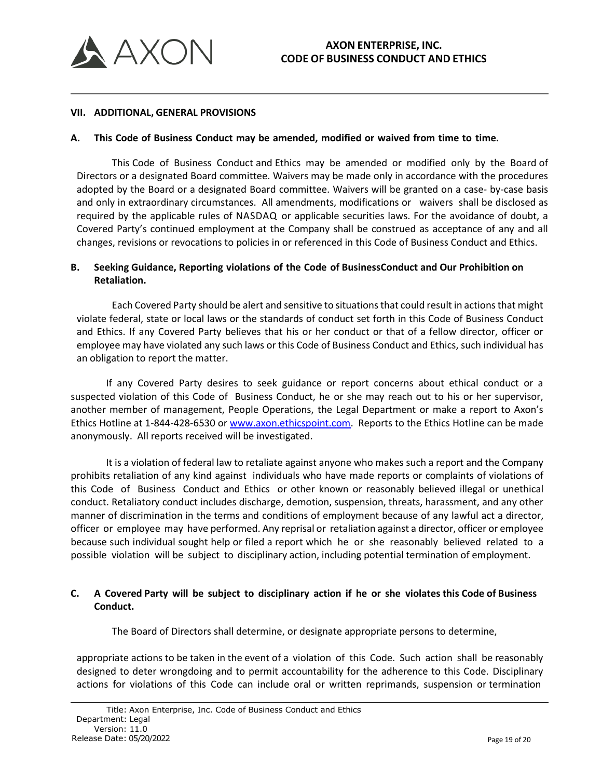

#### **VII. ADDITIONAL, GENERAL PROVISIONS**

### **A. This Code of Business Conduct may be amended, modified or waived from time to time.**

This Code of Business Conduct and Ethics may be amended or modified only by the Board of Directors or a designated Board committee. Waivers may be made only in accordance with the procedures adopted by the Board or a designated Board committee. Waivers will be granted on a case- by-case basis and only in extraordinary circumstances. All amendments, modifications or waivers shall be disclosed as required by the applicable rules of NASDAQ or applicable securities laws. For the avoidance of doubt, a Covered Party's continued employment at the Company shall be construed as acceptance of any and all changes, revisions or revocations to policies in or referenced in this Code of Business Conduct and Ethics.

## **B. Seeking Guidance, Reporting violations of the Code of BusinessConduct and Our Prohibition on Retaliation.**

Each Covered Party should be alert and sensitive to situations that could result in actions that might violate federal, state or local laws or the standards of conduct set forth in this Code of Business Conduct and Ethics. If any Covered Party believes that his or her conduct or that of a fellow director, officer or employee may have violated any such laws or this Code of Business Conduct and Ethics, such individual has an obligation to report the matter.

If any Covered Party desires to seek guidance or report concerns about ethical conduct or a suspected violation of this Code of Business Conduct, he or she may reach out to his or her supervisor, another member of management, People Operations, the Legal Department or make a report to Axon's Ethics Hotline at 1-844-428-6530 or [www.axon.ethicspoint.com.](http://www.axon.ethicspoint.com/) Reports to the Ethics Hotline can be made anonymously. All reports received will be investigated.

It is a violation of federal law to retaliate against anyone who makes such a report and the Company prohibits retaliation of any kind against individuals who have made reports or complaints of violations of this Code of Business Conduct and Ethics or other known or reasonably believed illegal or unethical conduct. Retaliatory conduct includes discharge, demotion, suspension, threats, harassment, and any other manner of discrimination in the terms and conditions of employment because of any lawful act a director, officer or employee may have performed. Any reprisal or retaliation against a director, officer or employee because such individual sought help or filed a report which he or she reasonably believed related to a possible violation will be subject to disciplinary action, including potential termination of employment.

## C. A Covered Party will be subject to disciplinary action if he or she violates this Code of Business **Conduct.**

The Board of Directors shall determine, or designate appropriate persons to determine,

appropriate actions to be taken in the event of a violation of this Code. Such action shall be reasonably designed to deter wrongdoing and to permit accountability for the adherence to this Code. Disciplinary actions for violations of this Code can include oral or written reprimands, suspension or termination